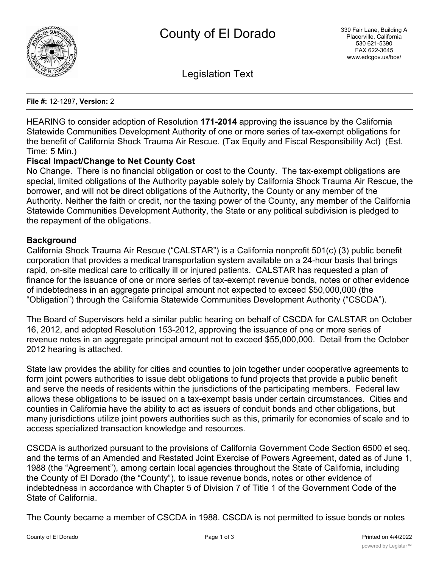

Legislation Text

**File #:** 12-1287, **Version:** 2

HEARING to consider adoption of Resolution **171-2014** approving the issuance by the California Statewide Communities Development Authority of one or more series of tax-exempt obligations for the benefit of California Shock Trauma Air Rescue. (Tax Equity and Fiscal Responsibility Act) (Est. Time: 5 Min.)

# **Fiscal Impact/Change to Net County Cost**

No Change. There is no financial obligation or cost to the County. The tax-exempt obligations are special, limited obligations of the Authority payable solely by California Shock Trauma Air Rescue, the borrower, and will not be direct obligations of the Authority, the County or any member of the Authority. Neither the faith or credit, nor the taxing power of the County, any member of the California Statewide Communities Development Authority, the State or any political subdivision is pledged to the repayment of the obligations.

# **Background**

California Shock Trauma Air Rescue ("CALSTAR") is a California nonprofit 501(c) (3) public benefit corporation that provides a medical transportation system available on a 24-hour basis that brings rapid, on-site medical care to critically ill or injured patients. CALSTAR has requested a plan of finance for the issuance of one or more series of tax-exempt revenue bonds, notes or other evidence of indebtedness in an aggregate principal amount not expected to exceed \$50,000,000 (the "Obligation") through the California Statewide Communities Development Authority ("CSCDA").

The Board of Supervisors held a similar public hearing on behalf of CSCDA for CALSTAR on October 16, 2012, and adopted Resolution 153-2012, approving the issuance of one or more series of revenue notes in an aggregate principal amount not to exceed \$55,000,000. Detail from the October 2012 hearing is attached.

State law provides the ability for cities and counties to join together under cooperative agreements to form joint powers authorities to issue debt obligations to fund projects that provide a public benefit and serve the needs of residents within the jurisdictions of the participating members. Federal law allows these obligations to be issued on a tax-exempt basis under certain circumstances. Cities and counties in California have the ability to act as issuers of conduit bonds and other obligations, but many jurisdictions utilize joint powers authorities such as this, primarily for economies of scale and to access specialized transaction knowledge and resources.

CSCDA is authorized pursuant to the provisions of California Government Code Section 6500 et seq. and the terms of an Amended and Restated Joint Exercise of Powers Agreement, dated as of June 1, 1988 (the "Agreement"), among certain local agencies throughout the State of California, including the County of El Dorado (the "County"), to issue revenue bonds, notes or other evidence of indebtedness in accordance with Chapter 5 of Division 7 of Title 1 of the Government Code of the State of California.

The County became a member of CSCDA in 1988. CSCDA is not permitted to issue bonds or notes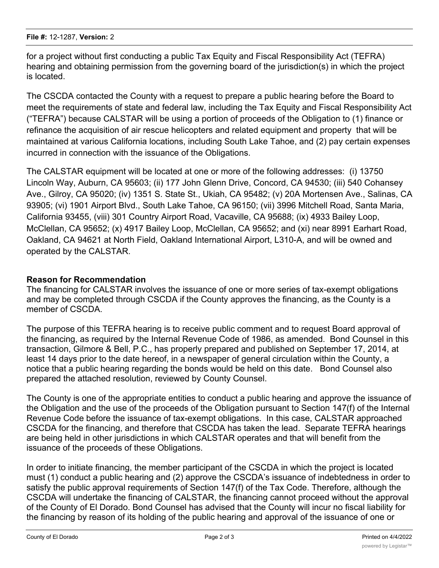for a project without first conducting a public Tax Equity and Fiscal Responsibility Act (TEFRA) hearing and obtaining permission from the governing board of the jurisdiction(s) in which the project is located.

The CSCDA contacted the County with a request to prepare a public hearing before the Board to meet the requirements of state and federal law, including the Tax Equity and Fiscal Responsibility Act ("TEFRA") because CALSTAR will be using a portion of proceeds of the Obligation to (1) finance or refinance the acquisition of air rescue helicopters and related equipment and property that will be maintained at various California locations, including South Lake Tahoe, and (2) pay certain expenses incurred in connection with the issuance of the Obligations.

The CALSTAR equipment will be located at one or more of the following addresses: (i) 13750 Lincoln Way, Auburn, CA 95603; (ii) 177 John Glenn Drive, Concord, CA 94530; (iii) 540 Cohansey Ave., Gilroy, CA 95020; (iv) 1351 S. State St., Ukiah, CA 95482; (v) 20A Mortensen Ave., Salinas, CA 93905; (vi) 1901 Airport Blvd., South Lake Tahoe, CA 96150; (vii) 3996 Mitchell Road, Santa Maria, California 93455, (viii) 301 Country Airport Road, Vacaville, CA 95688; (ix) 4933 Bailey Loop, McClellan, CA 95652; (x) 4917 Bailey Loop, McClellan, CA 95652; and (xi) near 8991 Earhart Road, Oakland, CA 94621 at North Field, Oakland International Airport, L310-A, and will be owned and operated by the CALSTAR.

# **Reason for Recommendation**

The financing for CALSTAR involves the issuance of one or more series of tax-exempt obligations and may be completed through CSCDA if the County approves the financing, as the County is a member of CSCDA.

The purpose of this TEFRA hearing is to receive public comment and to request Board approval of the financing, as required by the Internal Revenue Code of 1986, as amended. Bond Counsel in this transaction, Gilmore & Bell, P.C., has properly prepared and published on September 17, 2014, at least 14 days prior to the date hereof, in a newspaper of general circulation within the County, a notice that a public hearing regarding the bonds would be held on this date. Bond Counsel also prepared the attached resolution, reviewed by County Counsel.

The County is one of the appropriate entities to conduct a public hearing and approve the issuance of the Obligation and the use of the proceeds of the Obligation pursuant to Section 147(f) of the Internal Revenue Code before the issuance of tax-exempt obligations. In this case, CALSTAR approached CSCDA for the financing, and therefore that CSCDA has taken the lead. Separate TEFRA hearings are being held in other jurisdictions in which CALSTAR operates and that will benefit from the issuance of the proceeds of these Obligations.

In order to initiate financing, the member participant of the CSCDA in which the project is located must (1) conduct a public hearing and (2) approve the CSCDA's issuance of indebtedness in order to satisfy the public approval requirements of Section 147(f) of the Tax Code. Therefore, although the CSCDA will undertake the financing of CALSTAR, the financing cannot proceed without the approval of the County of El Dorado. Bond Counsel has advised that the County will incur no fiscal liability for the financing by reason of its holding of the public hearing and approval of the issuance of one or